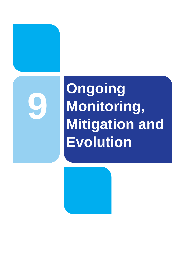

# **Ongoing Monitoring, Mitigation and Evolution**

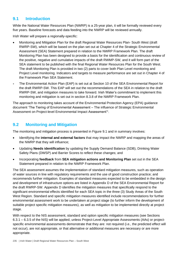# **9.1 Introduction**

While the National Water Resources Plan (NWRP) is a 25-year plan, it will be formally reviewed every five years. Baseline forecasts and data feeding into the NWRP will be reviewed annually.

Irish Water will prepare a regionally-specific:

- Monitoring and Mitigation Plan for the draft Regional Water Resources Plan- South West (draft RWRP-SW), which will be based on the plan set out at Chapter 4 of the Strategic Environmental Assessment (SEA) Statement prepared in relation to the NWRP Framework Plan. The draft Monitoring Plan has been designed to provide a basis for the identification and continuous review of the positive, negative and cumulative impacts of the draft RWMP-SW, and it will form part of the SEA statement to be published with the final Regional Water Resources Plan for the South West. The draft Monitoring Plan is provided in two (2) parts to cover both Plan Level monitoring and Project Level monitoring. Indicators and targets to measure performance are set out in Chapter 4 of the Framework Plan SEA Statement.
- The Environmental Action Plan (EAP) is set out at Section 10 of the SEA Environmental Report for the draft RWRP-SW. This EAP will set out the recommendations of the SEA in relation to the draft RWRP-SW, and mitigation measures to take forward. Irish Water's commitment to implement this monitoring and mitigation is set out in section 8.3.8 of the NWRP Framework Plan.

The approach to monitoring takes account of the Environmental Protection Agency (EPA) guidance document 'The Tiering of Environmental Assessment – The influence of Strategic Environmental Assessment on Project-level Environmental Impact Assessment'<sup>1</sup>.

## **9.2 Monitoring and Mitigation**

The monitoring and mitigation process is presented in Figure 9.1 and in summary involves:

- Identifying the **internal and external factors** that may impact the NWRP and mapping the areas of the NWRP that they will influence;
- Updating **Needs identification** by updating the Supply Demand Balance (SDB), Drinking Water Safety Plans (DWSP) and Barrier Scores to reflect these changes; and
- Incorporating **feedback** from **SEA mitigation actions and Monitoring Plan** set out in the SEA Statement prepared in relation to the NWRP Framework Plan.

The SEA assessment assumes the implementation of standard mitigation measures, such as operation of water sources in line with regulatory requirements and the use of good construction practice; and recommends further mitigation. Examples of standard measures expected to be embedded in the design and development of infrastructure options are listed in Appendix D of the SEA Environmental Report for the draft RWRP-SW. Appendix D identifies the mitigation measures that specifically respond to the significant environmental effects identified for each SEA topic in the three (3) Study Areas of the South West Region. Standard and specific mitigation measures identified include recommendations for further environmental assessment work to be undertaken at project stage (to further inform the development of suitable project specific mitigation measures), as well as mitigation to be implemented directly at project stage.

With respect to the NIS assessment, standard and option specific mitigation measures (see Sections 6.3.1 – 6.3.5 of the NIS) will be applied, unless Project-Level Appropriate Assessments (AAs) or projectspecific environmental assessments demonstrate that they are: not required (i.e., the predicted effect will not occur), are not appropriate, or that alternative or additional measures are necessary or are more appropriate.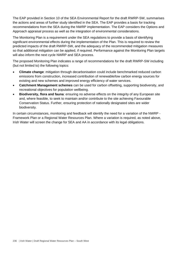The EAP provided in Section 10 of the SEA Environmental Report for the draft RWRP-SW, summarises the actions and areas of further study identified in the SEA. The EAP provides a basis for tracking recommendations from the SEA during the NWRP implementation. The EAP considers the Options and Approach appraisal process as well as the integration of environmental considerations.

The Monitoring Plan is a requirement under the SEA regulations to provide a basis of identifying significant environmental effects during the implementation of the Plan. This is required to review the predicted impacts of the draft RWRP-SW, and the adequacy of the recommended mitigation measures so that additional mitigation can be applied, if required. Performance against the Monitoring Plan targets will also inform the next cycle NWRP and SEA process.

The proposed Monitoring Plan indicates a range of recommendations for the draft RWRP-SW including (but not limited to) the following topics:

- **Climate change**: mitigation through decarbonisation could include benchmarked reduced carbon emissions from construction, increased contribution of renewable/low carbon energy sources for existing and new schemes and improved energy efficiency of water services.
- **Catchment Management schemes** can be used for carbon offsetting, supporting biodiversity, and recreational objectives for population wellbeing.
- **Biodiversity, flora and fauna**: ensuring no adverse effects on the integrity of any European site and, where feasible, to seek to maintain and/or contribute to the site achieving Favourable Conservation Status. Further, ensuring protection of nationally designated sites are wider biodiversity.

In certain circumstances, monitoring and feedback will identify the need for a variation of the NWRP - Framework Plan or a Regional Water Resources Plan. Where a variation is required, as noted above, Irish Water will screen the change for SEA and AA in accordance with its legal obligations.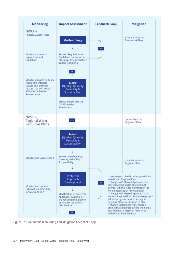

**Figure 9.1 Continuous Monitoring and Mitigation Feedback Loop**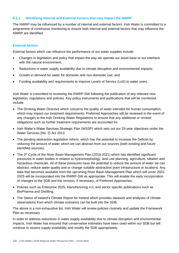## **9.2.1 Identifying Internal and External Factors that may Impact the NWRP**

The NWRP may be influenced by a number of internal and external factors. Irish Water is committed to a programme of continuous monitoring to ensure both internal and external factors that may influence the NWRP are identified.

#### **External factors**

External factors which can influence the performance of our water supplies include:

- Changes in legislation and policy that impact the way we operate our asset base or our interface with the natural environment:
- Reductions in water supply availability due to climate disruption and environmental impacts;
- Growth in demand for water for domestic and non-domestic use; and
- Funding availability and requirements to improve Levels of Service (LoS) to water users.

Irish Water is committed to reviewing the RWRP-SW following the publication of any relevant new legislation, regulations and policies. Key policy instruments and publications that will be monitored, include:

- The Drinking Water Directive which concerns the quality of water intended for human consumption, which may impact our treatment requirements. Preferred Approaches will be reviewed in the event of any changes to the Irish Drinking Water Regulations to ensure that any additional or revised obligations such as further treatment requirements are accounted for.
- Irish Water's Water Services Strategic Plan (WSSP) which sets out our 25-year objectives under the Water Services (No. 2) Act 2013.
- The pending abstraction legislation reform, which has the potential to increase the Deficits by reducing the amount of water which we can abstract from our sources (both existing and future identified sources).
- The 3<sup>rd</sup> Cycle of the River Basin Management Plan (2018-2021) which has identified significant pressures in water bodies in relation to hydromorphology, land use planning, agriculture, siltation and hazardous chemicals. All of these pressures have the potential to reduce the amount of water we can abstract, reduce water quality and or change suitable abstraction point infrastructure or locations. Any data that becomes available from the upcoming River Basin Management Plan which will cover 2022- 2025 will be incorporated into the RWRP-SW as appropriate. This will enable the early incorporation of changes to the SDB and the revision, if necessary, of Preferred Approaches;
- Policies such as Enterprise 2025, Manufacturing 4.0, and sector specific publications such as BioPharma and Distilling.
- The Status of Ireland's Climate Report for Ireland which provides datasets and analyses of climate observations from which climate scenarios can be built into the SDB.

The above is a non-exhaustive list. Irish Water will review policies routinely and update the Framework Plan as necessary.

In order to address reductions in water supply availability due to climate disruption and environmental impacts, Irish Water has ensured that conservative estimates have been used within our SDB but will continue to assess supply availability and modify the SDB appropriately.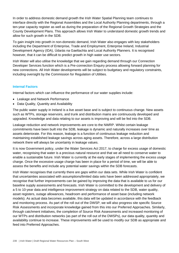In order to address domestic demand growth the Irish Water Spatial Planning team continues to interface directly with the Regional Assemblies and the Local Authority Planning departments, through a ten-year capacity register as well as during the preparation of the Regional Growth Strategies and the County Development Plans. This approach allows Irish Water to understand domestic growth trends and allow for such growth in the SDB.

To gain insight into growth in non-domestic demand, Irish Water also engages with key stakeholders including the Department of Enterprise, Trade and Employment, Enterprise Ireland, Industrial Development Agency (IDA), Údarás na Gaeltachta and Local Authority Planners. It is recognised however, that it can be difficult to predict growth in high water use sectors.

Irish Water will also utilise the knowledge that we gain regarding demand through our Connection Developer Services function which is a Pre-connection Enquiry process allowing forward planning for new connections. All Irish Water developments will be subject to budgetary and regulatory constraints, including oversight by the Commission for Regulation of Utilities.

## **Internal Factors**

Internal factors which can influence the performance of our water supplies include:

- Leakage and Network Performance
- Data Quality, Quantity and Availability

The public water supply in Ireland is a live asset base and is subject to continuous change. New assets such as WTPs, storage reservoirs, and trunk and distribution mains are continuously developed and upgraded. Knowledge and data relating to our assets is improving and will be fed into the SDB.

Leakage reduction and network improvements are core to the NWRP. Whilst certain leakage commitments have been built into the SDB, leakage is dynamic and naturally increases over time as assets deteriorate. For this reason, leakage is a function of continuous leakage reduction and maintaining established leakage savings across aging assets. Therefore, across a large distribution network there will always be uncertainty in leakage values.

It is now Government policy, under the Water Services Act 2017, to charge for excess usage of domestic water, recognising that water is a precious natural resource and that we all need to conserve water to enable a sustainable future. Irish Water is currently at the early stages of implementing the excess usage charge. Once the excessive usage charge has been in place for a period of time, we will be able to assess the benefits and include any potential water savings within the SDB forecasts.

Irish Water recognises that currently there are gaps within our data sets. While Irish Water is confident that uncertainties associated with assumptions/limited data sets have been addressed appropriately, we recognise that further improvements can be gained by improving the data that is available to us for our baseline supply assessments and forecasts. Irish Water is committed to the development and delivery of a 5 to 10-year data and intelligence improvement strategy on data related to the SDB, water quality, asset registers, outage allowances, headroom and performance of asset base (including network models). As actual data becomes available, this data will be updated in accordance with the feedback and monitoring process. As part of the roll out of the DWSP, we will also progress site specific Source Risk Assessments and incorporate knowledge gained from this into our Preferred Approaches. Similarly, through catchment initiatives, the completion of Source Risk Assessments and increased monitoring of our WTPs and distribution networks (as part of the roll out of the DWSPs), our data quality, quantity and availability continue to increase. These improvements will be used to modify our SDB as appropriate and feed into Preferred Approaches.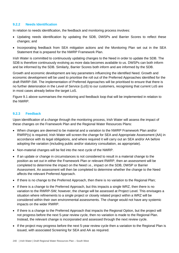#### **9.2.2 Needs Identification**

In relation to needs identification, the feedback and monitoring process involves:

- Updating needs identification by updating the SDB, DWSPs and Barrier Scores to reflect these changes; and
- Incorporating feedback from SEA mitigation actions and the Monitoring Plan set out in the SEA Statement that is prepared for the NWRP Framework Plan.

Irish Water is committed to continuously updating changes to the Need in order to update the SDB. The SDB is therefore continuously evolving as more data becomes available to us. DWSPs can both inform and be informed by the SDB. Similarly, Barrier Scores both inform and are informed by the SDB.

Growth and economic development are key parameters influencing the identified Need. Growth and economic development will be used to prioritise the roll out of the Preferred Approaches identified for the draft RWRP-SW. The implementation of Preferred Approaches will be prioritised to ensure that there is no further deterioration in the Level of Service (LoS) to our customers, recognising that current LoS are in most cases already below the target LoS.

Figure 9.1 above summarises the monitoring and feedback loop that will be implemented in relation to the NWRP.

#### **9.2.3 Feedback**

Upon identification of a change through the monitoring process, Irish Water will assess the impact of these changes on the Framework Plan and the Regional Water Resources Plans:

- When changes are deemed to be material and a variation to the NWRP Framework Plan and/or RWRP(s) is required, Irish Water will screen the change for SEA and Appropriate Assessment (AA) in accordance with its legal obligations, and where required it will carry out an SEA and/or AA before adopting the variation (including public and/or statutory consultation, as appropriate).
- Non-material changes will be fed into the next cycle of the NWRP.
- If an update or change in circumstances is not considered to result in a material change to the position as set out in either the Framework Plan or relevant RWRP, then an assessment will be completed to determine the impact on the Need i.e., impact on the SDB, DWSP or Barrier Assessment. An assessment will then be completed to determine whether the change to the Need affects the relevant Preferred Approach.
- If there is no change to the Preferred Approach, then there is no variation to the Regional Plan;
- If there is a change to the Preferred Approach, but this impacts a single WRZ, then there is no variation to the RWRP-SW; however, the change will be assessed at Project Level. This envisages a situation where refinements to a single project or closely related project within a WRZ will be considered within their own environmental assessments. The change would not have any systemic impacts on the wider RWRP.
- If there is a change to the Preferred Approach that impacts the Regional Option, but the project will not progress before the next 5-year review cycle, then no variation is made to the Regional Plan. Instead, the relevant change is incorporated and assessed through the next review cycle.
- If the project may progress before the next 5-year review cycle then a variation to the Regional Plan is issued, with associated Screening for SEA and AA as required.